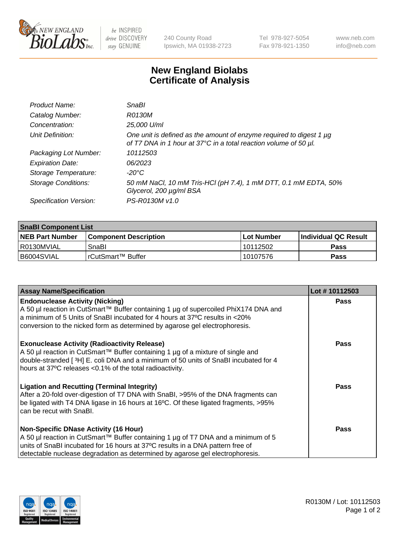

be INSPIRED drive DISCOVERY stay GENUINE

240 County Road Ipswich, MA 01938-2723 Tel 978-927-5054 Fax 978-921-1350 www.neb.com info@neb.com

## **New England Biolabs Certificate of Analysis**

| Product Name:              | SnaBl                                                                                                                                   |
|----------------------------|-----------------------------------------------------------------------------------------------------------------------------------------|
| Catalog Number:            | R0130M                                                                                                                                  |
| Concentration:             | 25,000 U/ml                                                                                                                             |
| Unit Definition:           | One unit is defined as the amount of enzyme required to digest 1 µg<br>of T7 DNA in 1 hour at 37°C in a total reaction volume of 50 µl. |
| Packaging Lot Number:      | 10112503                                                                                                                                |
| <b>Expiration Date:</b>    | 06/2023                                                                                                                                 |
| Storage Temperature:       | $-20^{\circ}$ C                                                                                                                         |
| <b>Storage Conditions:</b> | 50 mM NaCl, 10 mM Tris-HCl (pH 7.4), 1 mM DTT, 0.1 mM EDTA, 50%<br>Glycerol, 200 µg/ml BSA                                              |
| Specification Version:     | PS-R0130M v1.0                                                                                                                          |

| <b>SnaBI Component List</b> |                         |              |                             |  |
|-----------------------------|-------------------------|--------------|-----------------------------|--|
| <b>NEB Part Number</b>      | l Component Description | l Lot Number | <b>Individual QC Result</b> |  |
| I R0130MVIAL                | SnaBl                   | 10112502     | Pass                        |  |
| B6004SVIAL                  | l rCutSmart™ Buffer_    | 10107576     | Pass                        |  |

| <b>Assay Name/Specification</b>                                                                                                                                                                                                                                                                      | Lot #10112503 |
|------------------------------------------------------------------------------------------------------------------------------------------------------------------------------------------------------------------------------------------------------------------------------------------------------|---------------|
| <b>Endonuclease Activity (Nicking)</b><br>A 50 µl reaction in CutSmart™ Buffer containing 1 µg of supercoiled PhiX174 DNA and<br>a minimum of 5 Units of SnaBI incubated for 4 hours at 37°C results in <20%<br>conversion to the nicked form as determined by agarose gel electrophoresis.          | <b>Pass</b>   |
| <b>Exonuclease Activity (Radioactivity Release)</b><br>A 50 µl reaction in CutSmart™ Buffer containing 1 µg of a mixture of single and<br>double-stranded [3H] E. coli DNA and a minimum of 50 units of SnaBI incubated for 4<br>hours at 37°C releases <0.1% of the total radioactivity.            | <b>Pass</b>   |
| <b>Ligation and Recutting (Terminal Integrity)</b><br>After a 20-fold over-digestion of T7 DNA with SnaBI, >95% of the DNA fragments can<br>be ligated with T4 DNA ligase in 16 hours at 16°C. Of these ligated fragments, >95%<br>can be recut with SnaBI.                                          | Pass          |
| <b>Non-Specific DNase Activity (16 Hour)</b><br>A 50 µl reaction in CutSmart™ Buffer containing 1 µg of T7 DNA and a minimum of 5<br>units of SnaBI incubated for 16 hours at 37°C results in a DNA pattern free of<br>detectable nuclease degradation as determined by agarose gel electrophoresis. | Pass          |